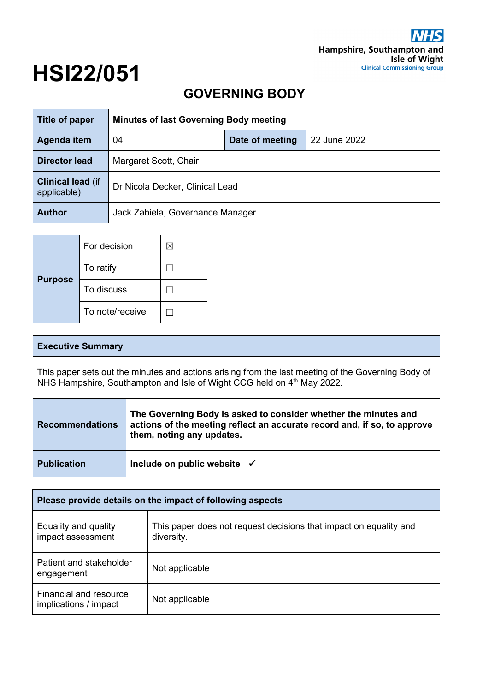# **HSI22/051**

# **GOVERNING BODY**

| Title of paper                          | <b>Minutes of last Governing Body meeting</b> |                 |              |
|-----------------------------------------|-----------------------------------------------|-----------------|--------------|
| Agenda item                             | 04                                            | Date of meeting | 22 June 2022 |
| <b>Director lead</b>                    | Margaret Scott, Chair                         |                 |              |
| <b>Clinical lead (if</b><br>applicable) | Dr Nicola Decker, Clinical Lead               |                 |              |
| <b>Author</b>                           | Jack Zabiela, Governance Manager              |                 |              |

|                | For decision    | × |
|----------------|-----------------|---|
|                | To ratify       |   |
| <b>Purpose</b> | To discuss      |   |
|                | To note/receive |   |

| <b>Executive Summary</b>                                                                                                                                                     |                                                                                                                                                                          |  |
|------------------------------------------------------------------------------------------------------------------------------------------------------------------------------|--------------------------------------------------------------------------------------------------------------------------------------------------------------------------|--|
| This paper sets out the minutes and actions arising from the last meeting of the Governing Body of<br>NHS Hampshire, Southampton and Isle of Wight CCG held on 4th May 2022. |                                                                                                                                                                          |  |
| <b>Recommendations</b>                                                                                                                                                       | The Governing Body is asked to consider whether the minutes and<br>actions of the meeting reflect an accurate record and, if so, to approve<br>them, noting any updates. |  |
| <b>Publication</b>                                                                                                                                                           | Include on public website $\checkmark$                                                                                                                                   |  |

| Please provide details on the impact of following aspects |                                                                                 |  |
|-----------------------------------------------------------|---------------------------------------------------------------------------------|--|
| Equality and quality<br>impact assessment                 | This paper does not request decisions that impact on equality and<br>diversity. |  |
| Patient and stakeholder<br>engagement                     | Not applicable                                                                  |  |
| Financial and resource<br>implications / impact           | Not applicable                                                                  |  |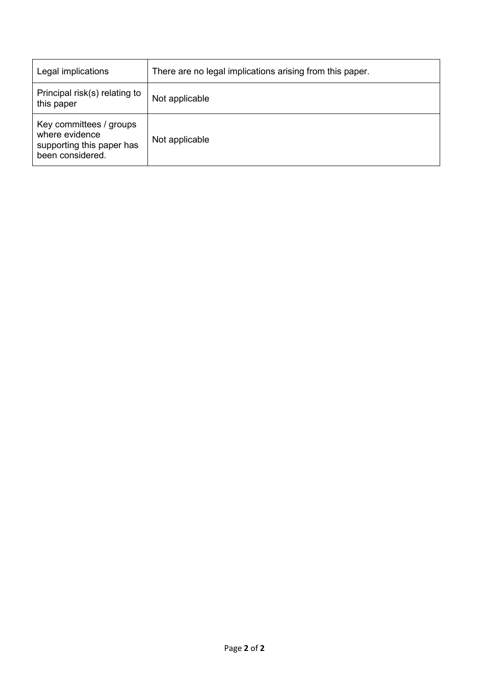| Legal implications                                                                         | There are no legal implications arising from this paper. |
|--------------------------------------------------------------------------------------------|----------------------------------------------------------|
| Principal risk(s) relating to<br>this paper                                                | Not applicable                                           |
| Key committees / groups<br>where evidence<br>supporting this paper has<br>been considered. | Not applicable                                           |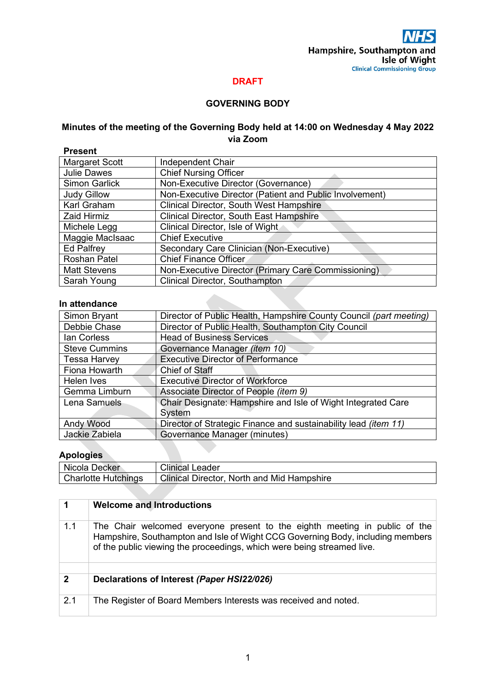#### **DRAFT**

#### **GOVERNING BODY**

#### **Minutes of the meeting of the Governing Body held at 14:00 on Wednesday 4 May 2022 via Zoom**

| <b>Present</b>       |                                                         |
|----------------------|---------------------------------------------------------|
| Margaret Scott       | Independent Chair                                       |
| <b>Julie Dawes</b>   | <b>Chief Nursing Officer</b>                            |
| <b>Simon Garlick</b> | Non-Executive Director (Governance)                     |
| <b>Judy Gillow</b>   | Non-Executive Director (Patient and Public Involvement) |
| Karl Graham          | Clinical Director, South West Hampshire                 |
| <b>Zaid Hirmiz</b>   | <b>Clinical Director, South East Hampshire</b>          |
| Michele Legg         | Clinical Director, Isle of Wight                        |
| Maggie MacIsaac      | <b>Chief Executive</b>                                  |
| <b>Ed Palfrey</b>    | Secondary Care Clinician (Non-Executive)                |
| <b>Roshan Patel</b>  | <b>Chief Finance Officer</b>                            |
| <b>Matt Stevens</b>  | Non-Executive Director (Primary Care Commissioning)     |
| Sarah Young          | <b>Clinical Director, Southampton</b>                   |

#### **In attendance**

| Simon Bryant         | Director of Public Health, Hampshire County Council (part meeting) |
|----------------------|--------------------------------------------------------------------|
| Debbie Chase         | Director of Public Health, Southampton City Council                |
| lan Corless          | <b>Head of Business Services</b>                                   |
| <b>Steve Cummins</b> | Governance Manager (item 10)                                       |
| <b>Tessa Harvey</b>  | <b>Executive Director of Performance</b>                           |
| Fiona Howarth        | Chief of Staff                                                     |
| Helen Ives           | <b>Executive Director of Workforce</b>                             |
| Gemma Limburn        | Associate Director of People (item 9)                              |
| Lena Samuels         | Chair Designate: Hampshire and Isle of Wight Integrated Care       |
|                      | System                                                             |
| <b>Andy Wood</b>     | Director of Strategic Finance and sustainability lead (item 11)    |
| Jackie Zabiela       | Governance Manager (minutes)                                       |

#### **Apologies**

| Nicola Decker              | <b>Clinical Leader</b>                            |
|----------------------------|---------------------------------------------------|
| <b>Charlotte Hutchings</b> | <b>Clinical Director, North and Mid Hampshire</b> |

|              | <b>Welcome and Introductions</b>                                                                                                                                                                                                       |
|--------------|----------------------------------------------------------------------------------------------------------------------------------------------------------------------------------------------------------------------------------------|
| 1.1          | The Chair welcomed everyone present to the eighth meeting in public of the<br>Hampshire, Southampton and Isle of Wight CCG Governing Body, including members<br>of the public viewing the proceedings, which were being streamed live. |
| $\mathbf{2}$ | Declarations of Interest (Paper HSI22/026)                                                                                                                                                                                             |
|              |                                                                                                                                                                                                                                        |
| 2.1          | The Register of Board Members Interests was received and noted.                                                                                                                                                                        |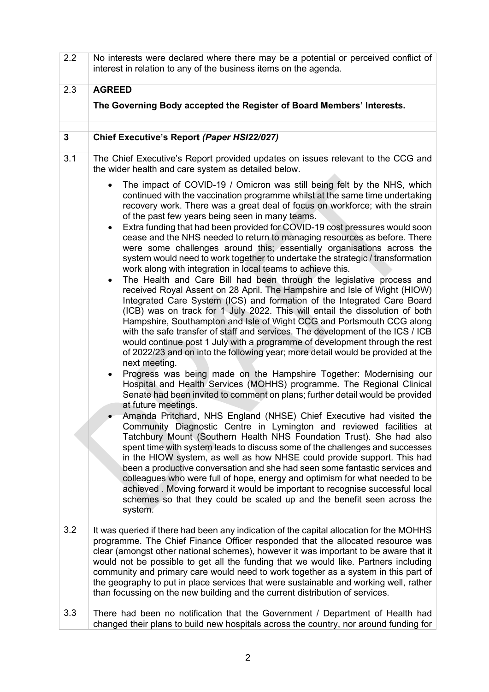| 2.2 | No interests were declared where there may be a potential or perceived conflict of<br>interest in relation to any of the business items on the agenda.                                                                                                                                                                                                                                                                                                                                                                                                                                                                                                                                                                                                                                                                                                                                                                                                                                                                                                                                                                                                                                                                                                                                                                                                                                                                                                                                                                                                                                                                                                                                                                                                                                                                                                                                                                                                                                                                                                                                                                                                                                                                                                                                                                                                               |  |
|-----|----------------------------------------------------------------------------------------------------------------------------------------------------------------------------------------------------------------------------------------------------------------------------------------------------------------------------------------------------------------------------------------------------------------------------------------------------------------------------------------------------------------------------------------------------------------------------------------------------------------------------------------------------------------------------------------------------------------------------------------------------------------------------------------------------------------------------------------------------------------------------------------------------------------------------------------------------------------------------------------------------------------------------------------------------------------------------------------------------------------------------------------------------------------------------------------------------------------------------------------------------------------------------------------------------------------------------------------------------------------------------------------------------------------------------------------------------------------------------------------------------------------------------------------------------------------------------------------------------------------------------------------------------------------------------------------------------------------------------------------------------------------------------------------------------------------------------------------------------------------------------------------------------------------------------------------------------------------------------------------------------------------------------------------------------------------------------------------------------------------------------------------------------------------------------------------------------------------------------------------------------------------------------------------------------------------------------------------------------------------------|--|
| 2.3 | <b>AGREED</b>                                                                                                                                                                                                                                                                                                                                                                                                                                                                                                                                                                                                                                                                                                                                                                                                                                                                                                                                                                                                                                                                                                                                                                                                                                                                                                                                                                                                                                                                                                                                                                                                                                                                                                                                                                                                                                                                                                                                                                                                                                                                                                                                                                                                                                                                                                                                                        |  |
|     | The Governing Body accepted the Register of Board Members' Interests.                                                                                                                                                                                                                                                                                                                                                                                                                                                                                                                                                                                                                                                                                                                                                                                                                                                                                                                                                                                                                                                                                                                                                                                                                                                                                                                                                                                                                                                                                                                                                                                                                                                                                                                                                                                                                                                                                                                                                                                                                                                                                                                                                                                                                                                                                                |  |
| 3   | Chief Executive's Report (Paper HSI22/027)                                                                                                                                                                                                                                                                                                                                                                                                                                                                                                                                                                                                                                                                                                                                                                                                                                                                                                                                                                                                                                                                                                                                                                                                                                                                                                                                                                                                                                                                                                                                                                                                                                                                                                                                                                                                                                                                                                                                                                                                                                                                                                                                                                                                                                                                                                                           |  |
| 3.1 | The Chief Executive's Report provided updates on issues relevant to the CCG and<br>the wider health and care system as detailed below.                                                                                                                                                                                                                                                                                                                                                                                                                                                                                                                                                                                                                                                                                                                                                                                                                                                                                                                                                                                                                                                                                                                                                                                                                                                                                                                                                                                                                                                                                                                                                                                                                                                                                                                                                                                                                                                                                                                                                                                                                                                                                                                                                                                                                               |  |
|     | The impact of COVID-19 / Omicron was still being felt by the NHS, which<br>$\bullet$<br>continued with the vaccination programme whilst at the same time undertaking<br>recovery work. There was a great deal of focus on workforce; with the strain<br>of the past few years being seen in many teams.<br>Extra funding that had been provided for COVID-19 cost pressures would soon<br>$\bullet$<br>cease and the NHS needed to return to managing resources as before. There<br>were some challenges around this; essentially organisations across the<br>system would need to work together to undertake the strategic / transformation<br>work along with integration in local teams to achieve this.<br>The Health and Care Bill had been through the legislative process and<br>$\bullet$<br>received Royal Assent on 28 April. The Hampshire and Isle of Wight (HIOW)<br>Integrated Care System (ICS) and formation of the Integrated Care Board<br>(ICB) was on track for 1 July 2022. This will entail the dissolution of both<br>Hampshire, Southampton and Isle of Wight CCG and Portsmouth CCG along<br>with the safe transfer of staff and services. The development of the ICS / ICB<br>would continue post 1 July with a programme of development through the rest<br>of 2022/23 and on into the following year; more detail would be provided at the<br>next meeting.<br>Progress was being made on the Hampshire Together: Modernising our<br>Hospital and Health Services (MOHHS) programme. The Regional Clinical<br>Senate had been invited to comment on plans; further detail would be provided<br>at future meetings.<br>Amanda Pritchard, NHS England (NHSE) Chief Executive had visited the<br>Community Diagnostic Centre in Lymington and reviewed facilities at<br>Tatchbury Mount (Southern Health NHS Foundation Trust). She had also<br>spent time with system leads to discuss some of the challenges and successes<br>in the HIOW system, as well as how NHSE could provide support. This had<br>been a productive conversation and she had seen some fantastic services and<br>colleagues who were full of hope, energy and optimism for what needed to be<br>achieved. Moving forward it would be important to recognise successful local<br>schemes so that they could be scaled up and the benefit seen across the<br>system. |  |
| 3.2 | It was queried if there had been any indication of the capital allocation for the MOHHS<br>programme. The Chief Finance Officer responded that the allocated resource was<br>clear (amongst other national schemes), however it was important to be aware that it<br>would not be possible to get all the funding that we would like. Partners including<br>community and primary care would need to work together as a system in this part of<br>the geography to put in place services that were sustainable and working well, rather<br>than focussing on the new building and the current distribution of services.                                                                                                                                                                                                                                                                                                                                                                                                                                                                                                                                                                                                                                                                                                                                                                                                                                                                                                                                                                                                                                                                                                                                                                                                                                                                                                                                                                                                                                                                                                                                                                                                                                                                                                                                              |  |
| 3.3 | There had been no notification that the Government / Department of Health had<br>changed their plans to build new hospitals across the country, nor around funding for                                                                                                                                                                                                                                                                                                                                                                                                                                                                                                                                                                                                                                                                                                                                                                                                                                                                                                                                                                                                                                                                                                                                                                                                                                                                                                                                                                                                                                                                                                                                                                                                                                                                                                                                                                                                                                                                                                                                                                                                                                                                                                                                                                                               |  |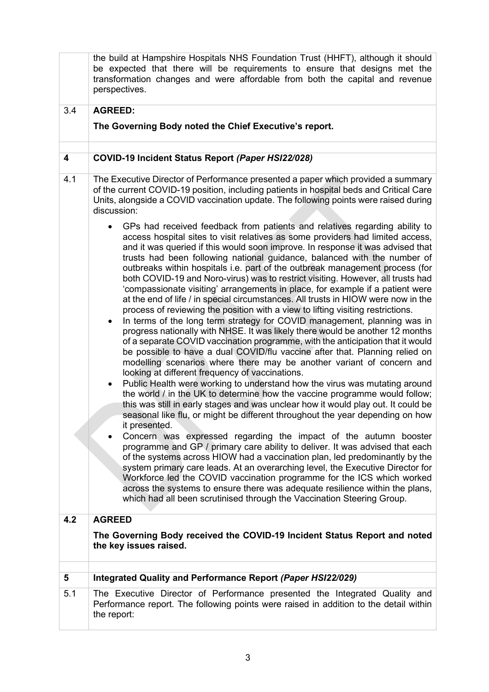|     | the build at Hampshire Hospitals NHS Foundation Trust (HHFT), although it should<br>be expected that there will be requirements to ensure that designs met the<br>transformation changes and were affordable from both the capital and revenue<br>perspectives.                                                                                                                                                                                                                                                                                                                                                                                                                                                                                                                                                                                                                                                                                                                                                                                                                                                                                                                                                                                                                                                                                                                                                                                                                                                                                                                                                                                                                                                                                                                                                                                                                                                                                                                                                                                                                                                                                |
|-----|------------------------------------------------------------------------------------------------------------------------------------------------------------------------------------------------------------------------------------------------------------------------------------------------------------------------------------------------------------------------------------------------------------------------------------------------------------------------------------------------------------------------------------------------------------------------------------------------------------------------------------------------------------------------------------------------------------------------------------------------------------------------------------------------------------------------------------------------------------------------------------------------------------------------------------------------------------------------------------------------------------------------------------------------------------------------------------------------------------------------------------------------------------------------------------------------------------------------------------------------------------------------------------------------------------------------------------------------------------------------------------------------------------------------------------------------------------------------------------------------------------------------------------------------------------------------------------------------------------------------------------------------------------------------------------------------------------------------------------------------------------------------------------------------------------------------------------------------------------------------------------------------------------------------------------------------------------------------------------------------------------------------------------------------------------------------------------------------------------------------------------------------|
| 3.4 | <b>AGREED:</b>                                                                                                                                                                                                                                                                                                                                                                                                                                                                                                                                                                                                                                                                                                                                                                                                                                                                                                                                                                                                                                                                                                                                                                                                                                                                                                                                                                                                                                                                                                                                                                                                                                                                                                                                                                                                                                                                                                                                                                                                                                                                                                                                 |
|     | The Governing Body noted the Chief Executive's report.                                                                                                                                                                                                                                                                                                                                                                                                                                                                                                                                                                                                                                                                                                                                                                                                                                                                                                                                                                                                                                                                                                                                                                                                                                                                                                                                                                                                                                                                                                                                                                                                                                                                                                                                                                                                                                                                                                                                                                                                                                                                                         |
|     |                                                                                                                                                                                                                                                                                                                                                                                                                                                                                                                                                                                                                                                                                                                                                                                                                                                                                                                                                                                                                                                                                                                                                                                                                                                                                                                                                                                                                                                                                                                                                                                                                                                                                                                                                                                                                                                                                                                                                                                                                                                                                                                                                |
| 4   | COVID-19 Incident Status Report (Paper HSI22/028)                                                                                                                                                                                                                                                                                                                                                                                                                                                                                                                                                                                                                                                                                                                                                                                                                                                                                                                                                                                                                                                                                                                                                                                                                                                                                                                                                                                                                                                                                                                                                                                                                                                                                                                                                                                                                                                                                                                                                                                                                                                                                              |
| 4.1 | The Executive Director of Performance presented a paper which provided a summary<br>of the current COVID-19 position, including patients in hospital beds and Critical Care<br>Units, alongside a COVID vaccination update. The following points were raised during<br>discussion:                                                                                                                                                                                                                                                                                                                                                                                                                                                                                                                                                                                                                                                                                                                                                                                                                                                                                                                                                                                                                                                                                                                                                                                                                                                                                                                                                                                                                                                                                                                                                                                                                                                                                                                                                                                                                                                             |
|     | GPs had received feedback from patients and relatives regarding ability to<br>access hospital sites to visit relatives as some providers had limited access,<br>and it was queried if this would soon improve. In response it was advised that<br>trusts had been following national guidance, balanced with the number of<br>outbreaks within hospitals i.e. part of the outbreak management process (for<br>both COVID-19 and Noro-virus) was to restrict visiting. However, all trusts had<br>'compassionate visiting' arrangements in place, for example if a patient were<br>at the end of life / in special circumstances. All trusts in HIOW were now in the<br>process of reviewing the position with a view to lifting visiting restrictions.<br>In terms of the long term strategy for COVID management, planning was in<br>$\bullet$<br>progress nationally with NHSE. It was likely there would be another 12 months<br>of a separate COVID vaccination programme, with the anticipation that it would<br>be possible to have a dual COVID/flu vaccine after that. Planning relied on<br>modelling scenarios where there may be another variant of concern and<br>looking at different frequency of vaccinations.<br>Public Health were working to understand how the virus was mutating around<br>٠<br>the world / in the UK to determine how the vaccine programme would follow;<br>this was still in early stages and was unclear how it would play out. It could be<br>seasonal like flu, or might be different throughout the year depending on how<br>it presented.<br>Concern was expressed regarding the impact of the autumn booster<br>programme and GP / primary care ability to deliver. It was advised that each<br>of the systems across HIOW had a vaccination plan, led predominantly by the<br>system primary care leads. At an overarching level, the Executive Director for<br>Workforce led the COVID vaccination programme for the ICS which worked<br>across the systems to ensure there was adequate resilience within the plans,<br>which had all been scrutinised through the Vaccination Steering Group. |
| 4.2 | <b>AGREED</b>                                                                                                                                                                                                                                                                                                                                                                                                                                                                                                                                                                                                                                                                                                                                                                                                                                                                                                                                                                                                                                                                                                                                                                                                                                                                                                                                                                                                                                                                                                                                                                                                                                                                                                                                                                                                                                                                                                                                                                                                                                                                                                                                  |
|     | The Governing Body received the COVID-19 Incident Status Report and noted<br>the key issues raised.                                                                                                                                                                                                                                                                                                                                                                                                                                                                                                                                                                                                                                                                                                                                                                                                                                                                                                                                                                                                                                                                                                                                                                                                                                                                                                                                                                                                                                                                                                                                                                                                                                                                                                                                                                                                                                                                                                                                                                                                                                            |
| 5   | Integrated Quality and Performance Report (Paper HSI22/029)                                                                                                                                                                                                                                                                                                                                                                                                                                                                                                                                                                                                                                                                                                                                                                                                                                                                                                                                                                                                                                                                                                                                                                                                                                                                                                                                                                                                                                                                                                                                                                                                                                                                                                                                                                                                                                                                                                                                                                                                                                                                                    |
| 5.1 | The Executive Director of Performance presented the Integrated Quality and                                                                                                                                                                                                                                                                                                                                                                                                                                                                                                                                                                                                                                                                                                                                                                                                                                                                                                                                                                                                                                                                                                                                                                                                                                                                                                                                                                                                                                                                                                                                                                                                                                                                                                                                                                                                                                                                                                                                                                                                                                                                     |
|     | Performance report. The following points were raised in addition to the detail within<br>the report:                                                                                                                                                                                                                                                                                                                                                                                                                                                                                                                                                                                                                                                                                                                                                                                                                                                                                                                                                                                                                                                                                                                                                                                                                                                                                                                                                                                                                                                                                                                                                                                                                                                                                                                                                                                                                                                                                                                                                                                                                                           |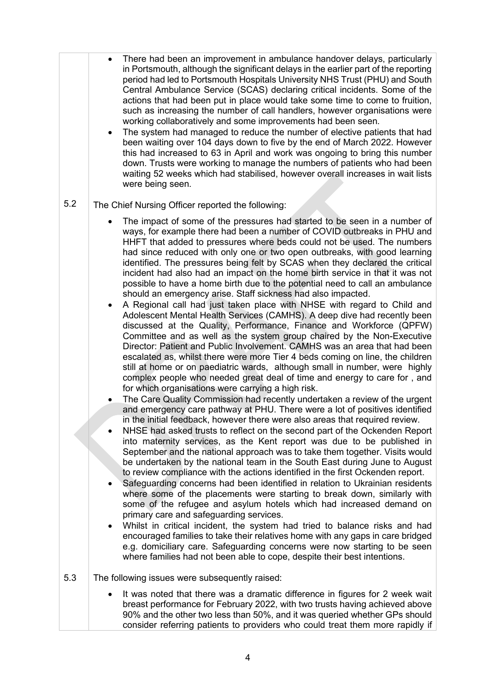|     | There had been an improvement in ambulance handover delays, particularly<br>in Portsmouth, although the significant delays in the earlier part of the reporting<br>period had led to Portsmouth Hospitals University NHS Trust (PHU) and South<br>Central Ambulance Service (SCAS) declaring critical incidents. Some of the<br>actions that had been put in place would take some time to come to fruition,<br>such as increasing the number of call handlers, however organisations were<br>working collaboratively and some improvements had been seen.<br>The system had managed to reduce the number of elective patients that had<br>been waiting over 104 days down to five by the end of March 2022. However<br>this had increased to 63 in April and work was ongoing to bring this number<br>down. Trusts were working to manage the numbers of patients who had been<br>waiting 52 weeks which had stabilised, however overall increases in wait lists<br>were being seen.                                                                                                                                                                                                                                                                                                                                                                                                                                                                                                                                                                                                                                                                                                                                                                                                                                                                                                                                                                                                                                                                                                                                                                                                                                                                                                                                                                                                                                                                                                                                                                                         |
|-----|-------------------------------------------------------------------------------------------------------------------------------------------------------------------------------------------------------------------------------------------------------------------------------------------------------------------------------------------------------------------------------------------------------------------------------------------------------------------------------------------------------------------------------------------------------------------------------------------------------------------------------------------------------------------------------------------------------------------------------------------------------------------------------------------------------------------------------------------------------------------------------------------------------------------------------------------------------------------------------------------------------------------------------------------------------------------------------------------------------------------------------------------------------------------------------------------------------------------------------------------------------------------------------------------------------------------------------------------------------------------------------------------------------------------------------------------------------------------------------------------------------------------------------------------------------------------------------------------------------------------------------------------------------------------------------------------------------------------------------------------------------------------------------------------------------------------------------------------------------------------------------------------------------------------------------------------------------------------------------------------------------------------------------------------------------------------------------------------------------------------------------------------------------------------------------------------------------------------------------------------------------------------------------------------------------------------------------------------------------------------------------------------------------------------------------------------------------------------------------------------------------------------------------------------------------------------------------|
| 5.2 | The Chief Nursing Officer reported the following:                                                                                                                                                                                                                                                                                                                                                                                                                                                                                                                                                                                                                                                                                                                                                                                                                                                                                                                                                                                                                                                                                                                                                                                                                                                                                                                                                                                                                                                                                                                                                                                                                                                                                                                                                                                                                                                                                                                                                                                                                                                                                                                                                                                                                                                                                                                                                                                                                                                                                                                             |
|     | The impact of some of the pressures had started to be seen in a number of<br>ways, for example there had been a number of COVID outbreaks in PHU and<br>HHFT that added to pressures where beds could not be used. The numbers<br>had since reduced with only one or two open outbreaks, with good learning<br>identified. The pressures being felt by SCAS when they declared the critical<br>incident had also had an impact on the home birth service in that it was not<br>possible to have a home birth due to the potential need to call an ambulance<br>should an emergency arise. Staff sickness had also impacted.<br>A Regional call had just taken place with NHSE with regard to Child and<br>Adolescent Mental Health Services (CAMHS). A deep dive had recently been<br>discussed at the Quality, Performance, Finance and Workforce (QPFW)<br>Committee and as well as the system group chaired by the Non-Executive<br>Director: Patient and Public Involvement. CAMHS was an area that had been<br>escalated as, whilst there were more Tier 4 beds coming on line, the children<br>still at home or on paediatric wards, although small in number, were highly<br>complex people who needed great deal of time and energy to care for, and<br>for which organisations were carrying a high risk.<br>The Care Quality Commission had recently undertaken a review of the urgent<br>and emergency care pathway at PHU. There were a lot of positives identified<br>in the initial feedback, however there were also areas that required review.<br>NHSE had asked trusts to reflect on the second part of the Ockenden Report<br>into maternity services, as the Kent report was due to be published in<br>September and the national approach was to take them together. Visits would<br>be undertaken by the national team in the South East during June to August<br>to review compliance with the actions identified in the first Ockenden report.<br>Safeguarding concerns had been identified in relation to Ukrainian residents<br>where some of the placements were starting to break down, similarly with<br>some of the refugee and asylum hotels which had increased demand on<br>primary care and safeguarding services.<br>Whilst in critical incident, the system had tried to balance risks and had<br>encouraged families to take their relatives home with any gaps in care bridged<br>e.g. domiciliary care. Safeguarding concerns were now starting to be seen<br>where families had not been able to cope, despite their best intentions. |
| 5.3 | The following issues were subsequently raised:                                                                                                                                                                                                                                                                                                                                                                                                                                                                                                                                                                                                                                                                                                                                                                                                                                                                                                                                                                                                                                                                                                                                                                                                                                                                                                                                                                                                                                                                                                                                                                                                                                                                                                                                                                                                                                                                                                                                                                                                                                                                                                                                                                                                                                                                                                                                                                                                                                                                                                                                |
|     | It was noted that there was a dramatic difference in figures for 2 week wait<br>breast performance for February 2022, with two trusts having achieved above<br>90% and the other two less than 50%, and it was queried whether GPs should<br>consider referring patients to providers who could treat them more rapidly if                                                                                                                                                                                                                                                                                                                                                                                                                                                                                                                                                                                                                                                                                                                                                                                                                                                                                                                                                                                                                                                                                                                                                                                                                                                                                                                                                                                                                                                                                                                                                                                                                                                                                                                                                                                                                                                                                                                                                                                                                                                                                                                                                                                                                                                    |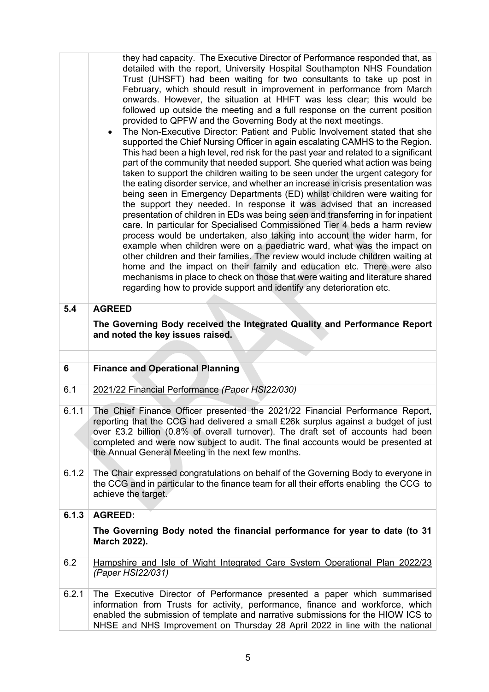|       | they had capacity. The Executive Director of Performance responded that, as<br>detailed with the report, University Hospital Southampton NHS Foundation<br>Trust (UHSFT) had been waiting for two consultants to take up post in<br>February, which should result in improvement in performance from March<br>onwards. However, the situation at HHFT was less clear; this would be<br>followed up outside the meeting and a full response on the current position<br>provided to QPFW and the Governing Body at the next meetings.<br>The Non-Executive Director: Patient and Public Involvement stated that she<br>supported the Chief Nursing Officer in again escalating CAMHS to the Region.<br>This had been a high level, red risk for the past year and related to a significant<br>part of the community that needed support. She queried what action was being<br>taken to support the children waiting to be seen under the urgent category for<br>the eating disorder service, and whether an increase in crisis presentation was<br>being seen in Emergency Departments (ED) whilst children were waiting for<br>the support they needed. In response it was advised that an increased<br>presentation of children in EDs was being seen and transferring in for inpatient<br>care. In particular for Specialised Commissioned Tier 4 beds a harm review<br>process would be undertaken, also taking into account the wider harm, for<br>example when children were on a paediatric ward, what was the impact on<br>other children and their families. The review would include children waiting at<br>home and the impact on their family and education etc. There were also<br>mechanisms in place to check on those that were waiting and literature shared<br>regarding how to provide support and identify any deterioration etc. |
|-------|-----------------------------------------------------------------------------------------------------------------------------------------------------------------------------------------------------------------------------------------------------------------------------------------------------------------------------------------------------------------------------------------------------------------------------------------------------------------------------------------------------------------------------------------------------------------------------------------------------------------------------------------------------------------------------------------------------------------------------------------------------------------------------------------------------------------------------------------------------------------------------------------------------------------------------------------------------------------------------------------------------------------------------------------------------------------------------------------------------------------------------------------------------------------------------------------------------------------------------------------------------------------------------------------------------------------------------------------------------------------------------------------------------------------------------------------------------------------------------------------------------------------------------------------------------------------------------------------------------------------------------------------------------------------------------------------------------------------------------------------------------------------------------------------------------------------------------------------------------|
| 5.4   | <b>AGREED</b>                                                                                                                                                                                                                                                                                                                                                                                                                                                                                                                                                                                                                                                                                                                                                                                                                                                                                                                                                                                                                                                                                                                                                                                                                                                                                                                                                                                                                                                                                                                                                                                                                                                                                                                                                                                                                                       |
|       | The Governing Body received the Integrated Quality and Performance Report<br>and noted the key issues raised.                                                                                                                                                                                                                                                                                                                                                                                                                                                                                                                                                                                                                                                                                                                                                                                                                                                                                                                                                                                                                                                                                                                                                                                                                                                                                                                                                                                                                                                                                                                                                                                                                                                                                                                                       |
|       |                                                                                                                                                                                                                                                                                                                                                                                                                                                                                                                                                                                                                                                                                                                                                                                                                                                                                                                                                                                                                                                                                                                                                                                                                                                                                                                                                                                                                                                                                                                                                                                                                                                                                                                                                                                                                                                     |
| 6     | <b>Finance and Operational Planning</b>                                                                                                                                                                                                                                                                                                                                                                                                                                                                                                                                                                                                                                                                                                                                                                                                                                                                                                                                                                                                                                                                                                                                                                                                                                                                                                                                                                                                                                                                                                                                                                                                                                                                                                                                                                                                             |
| 6.1   | 2021/22 Financial Performance (Paper HSI22/030)                                                                                                                                                                                                                                                                                                                                                                                                                                                                                                                                                                                                                                                                                                                                                                                                                                                                                                                                                                                                                                                                                                                                                                                                                                                                                                                                                                                                                                                                                                                                                                                                                                                                                                                                                                                                     |
| 6.1.1 | The Chief Finance Officer presented the 2021/22 Financial Performance Report,<br>reporting that the CCG had delivered a small £26k surplus against a budget of just<br>over £3.2 billion (0.8% of overall turnover). The draft set of accounts had been<br>completed and were now subject to audit. The final accounts would be presented at<br>the Annual General Meeting in the next few months.                                                                                                                                                                                                                                                                                                                                                                                                                                                                                                                                                                                                                                                                                                                                                                                                                                                                                                                                                                                                                                                                                                                                                                                                                                                                                                                                                                                                                                                  |
| 6.1.2 | The Chair expressed congratulations on behalf of the Governing Body to everyone in<br>the CCG and in particular to the finance team for all their efforts enabling the CCG to<br>achieve the target.                                                                                                                                                                                                                                                                                                                                                                                                                                                                                                                                                                                                                                                                                                                                                                                                                                                                                                                                                                                                                                                                                                                                                                                                                                                                                                                                                                                                                                                                                                                                                                                                                                                |
| 6.1.3 | <b>AGREED:</b>                                                                                                                                                                                                                                                                                                                                                                                                                                                                                                                                                                                                                                                                                                                                                                                                                                                                                                                                                                                                                                                                                                                                                                                                                                                                                                                                                                                                                                                                                                                                                                                                                                                                                                                                                                                                                                      |
|       | The Governing Body noted the financial performance for year to date (to 31<br>March 2022).                                                                                                                                                                                                                                                                                                                                                                                                                                                                                                                                                                                                                                                                                                                                                                                                                                                                                                                                                                                                                                                                                                                                                                                                                                                                                                                                                                                                                                                                                                                                                                                                                                                                                                                                                          |
| 6.2   | Hampshire and Isle of Wight Integrated Care System Operational Plan 2022/23<br>(Paper HSI22/031)                                                                                                                                                                                                                                                                                                                                                                                                                                                                                                                                                                                                                                                                                                                                                                                                                                                                                                                                                                                                                                                                                                                                                                                                                                                                                                                                                                                                                                                                                                                                                                                                                                                                                                                                                    |
| 6.2.1 | The Executive Director of Performance presented a paper which summarised<br>information from Trusts for activity, performance, finance and workforce, which<br>enabled the submission of template and narrative submissions for the HIOW ICS to<br>NHSE and NHS Improvement on Thursday 28 April 2022 in line with the national                                                                                                                                                                                                                                                                                                                                                                                                                                                                                                                                                                                                                                                                                                                                                                                                                                                                                                                                                                                                                                                                                                                                                                                                                                                                                                                                                                                                                                                                                                                     |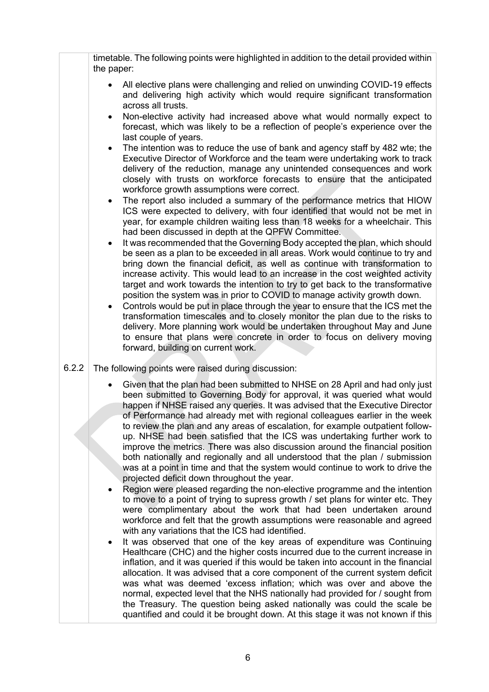|       | timetable. The following points were highlighted in addition to the detail provided within<br>the paper:                                                                                                                                                                                                                                                                                                                                                                                                                                                                                                                                                                                                                                                                                                                                                                                                                                                                                                                                                                                                                                                                                                                                                                                                                                                                                                                                                                                                                                                                                                                                                                                                                                                                                                                       |
|-------|--------------------------------------------------------------------------------------------------------------------------------------------------------------------------------------------------------------------------------------------------------------------------------------------------------------------------------------------------------------------------------------------------------------------------------------------------------------------------------------------------------------------------------------------------------------------------------------------------------------------------------------------------------------------------------------------------------------------------------------------------------------------------------------------------------------------------------------------------------------------------------------------------------------------------------------------------------------------------------------------------------------------------------------------------------------------------------------------------------------------------------------------------------------------------------------------------------------------------------------------------------------------------------------------------------------------------------------------------------------------------------------------------------------------------------------------------------------------------------------------------------------------------------------------------------------------------------------------------------------------------------------------------------------------------------------------------------------------------------------------------------------------------------------------------------------------------------|
|       | All elective plans were challenging and relied on unwinding COVID-19 effects<br>and delivering high activity which would require significant transformation<br>across all trusts.                                                                                                                                                                                                                                                                                                                                                                                                                                                                                                                                                                                                                                                                                                                                                                                                                                                                                                                                                                                                                                                                                                                                                                                                                                                                                                                                                                                                                                                                                                                                                                                                                                              |
|       | Non-elective activity had increased above what would normally expect to<br>$\bullet$<br>forecast, which was likely to be a reflection of people's experience over the<br>last couple of years.                                                                                                                                                                                                                                                                                                                                                                                                                                                                                                                                                                                                                                                                                                                                                                                                                                                                                                                                                                                                                                                                                                                                                                                                                                                                                                                                                                                                                                                                                                                                                                                                                                 |
|       | The intention was to reduce the use of bank and agency staff by 482 wte; the<br>Executive Director of Workforce and the team were undertaking work to track<br>delivery of the reduction, manage any unintended consequences and work<br>closely with trusts on workforce forecasts to ensure that the anticipated<br>workforce growth assumptions were correct.                                                                                                                                                                                                                                                                                                                                                                                                                                                                                                                                                                                                                                                                                                                                                                                                                                                                                                                                                                                                                                                                                                                                                                                                                                                                                                                                                                                                                                                               |
|       | The report also included a summary of the performance metrics that HIOW<br>$\bullet$<br>ICS were expected to delivery, with four identified that would not be met in<br>year, for example children waiting less than 18 weeks for a wheelchair. This<br>had been discussed in depth at the QPFW Committee.                                                                                                                                                                                                                                                                                                                                                                                                                                                                                                                                                                                                                                                                                                                                                                                                                                                                                                                                                                                                                                                                                                                                                                                                                                                                                                                                                                                                                                                                                                                     |
|       | It was recommended that the Governing Body accepted the plan, which should<br>٠<br>be seen as a plan to be exceeded in all areas. Work would continue to try and<br>bring down the financial deficit, as well as continue with transformation to<br>increase activity. This would lead to an increase in the cost weighted activity<br>target and work towards the intention to try to get back to the transformative<br>position the system was in prior to COVID to manage activity growth down.                                                                                                                                                                                                                                                                                                                                                                                                                                                                                                                                                                                                                                                                                                                                                                                                                                                                                                                                                                                                                                                                                                                                                                                                                                                                                                                             |
|       | Controls would be put in place through the year to ensure that the ICS met the<br>٠<br>transformation timescales and to closely monitor the plan due to the risks to<br>delivery. More planning work would be undertaken throughout May and June<br>to ensure that plans were concrete in order to focus on delivery moving<br>forward, building on current work.                                                                                                                                                                                                                                                                                                                                                                                                                                                                                                                                                                                                                                                                                                                                                                                                                                                                                                                                                                                                                                                                                                                                                                                                                                                                                                                                                                                                                                                              |
| 6.2.2 | The following points were raised during discussion:                                                                                                                                                                                                                                                                                                                                                                                                                                                                                                                                                                                                                                                                                                                                                                                                                                                                                                                                                                                                                                                                                                                                                                                                                                                                                                                                                                                                                                                                                                                                                                                                                                                                                                                                                                            |
|       | Given that the plan had been submitted to NHSE on 28 April and had only just<br>been submitted to Governing Body for approval, it was queried what would<br>happen if NHSE raised any queries. It was advised that the Executive Director<br>of Performance had already met with regional colleagues earlier in the week<br>to review the plan and any areas of escalation, for example outpatient follow-<br>up. NHSE had been satisfied that the ICS was undertaking further work to<br>improve the metrics. There was also discussion around the financial position<br>both nationally and regionally and all understood that the plan / submission<br>was at a point in time and that the system would continue to work to drive the<br>projected deficit down throughout the year.<br>Region were pleased regarding the non-elective programme and the intention<br>to move to a point of trying to supress growth / set plans for winter etc. They<br>were complimentary about the work that had been undertaken around<br>workforce and felt that the growth assumptions were reasonable and agreed<br>with any variations that the ICS had identified.<br>It was observed that one of the key areas of expenditure was Continuing<br>٠<br>Healthcare (CHC) and the higher costs incurred due to the current increase in<br>inflation, and it was queried if this would be taken into account in the financial<br>allocation. It was advised that a core component of the current system deficit<br>was what was deemed 'excess inflation; which was over and above the<br>normal, expected level that the NHS nationally had provided for / sought from<br>the Treasury. The question being asked nationally was could the scale be<br>quantified and could it be brought down. At this stage it was not known if this |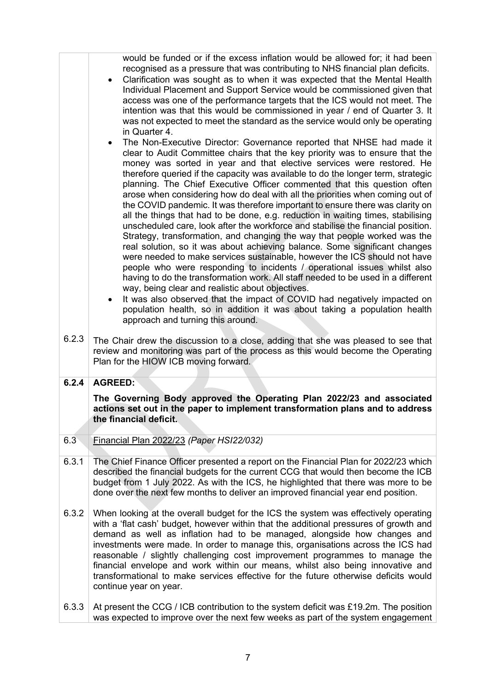|       | would be funded or if the excess inflation would be allowed for; it had been<br>recognised as a pressure that was contributing to NHS financial plan deficits.<br>Clarification was sought as to when it was expected that the Mental Health<br>٠<br>Individual Placement and Support Service would be commissioned given that<br>access was one of the performance targets that the ICS would not meet. The<br>intention was that this would be commissioned in year / end of Quarter 3. It<br>was not expected to meet the standard as the service would only be operating<br>in Quarter 4.<br>The Non-Executive Director: Governance reported that NHSE had made it                                                                                                                                                                                                                                                                                                                                                                                                                                                                                                                                                                                                                                                                 |
|-------|----------------------------------------------------------------------------------------------------------------------------------------------------------------------------------------------------------------------------------------------------------------------------------------------------------------------------------------------------------------------------------------------------------------------------------------------------------------------------------------------------------------------------------------------------------------------------------------------------------------------------------------------------------------------------------------------------------------------------------------------------------------------------------------------------------------------------------------------------------------------------------------------------------------------------------------------------------------------------------------------------------------------------------------------------------------------------------------------------------------------------------------------------------------------------------------------------------------------------------------------------------------------------------------------------------------------------------------|
|       | $\bullet$<br>clear to Audit Committee chairs that the key priority was to ensure that the<br>money was sorted in year and that elective services were restored. He<br>therefore queried if the capacity was available to do the longer term, strategic<br>planning. The Chief Executive Officer commented that this question often<br>arose when considering how do deal with all the priorities when coming out of<br>the COVID pandemic. It was therefore important to ensure there was clarity on<br>all the things that had to be done, e.g. reduction in waiting times, stabilising<br>unscheduled care, look after the workforce and stabilise the financial position.<br>Strategy, transformation, and changing the way that people worked was the<br>real solution, so it was about achieving balance. Some significant changes<br>were needed to make services sustainable, however the ICS should not have<br>people who were responding to incidents / operational issues whilst also<br>having to do the transformation work. All staff needed to be used in a different<br>way, being clear and realistic about objectives.<br>It was also observed that the impact of COVID had negatively impacted on<br>population health, so in addition it was about taking a population health<br>approach and turning this around. |
| 6.2.3 | The Chair drew the discussion to a close, adding that she was pleased to see that<br>review and monitoring was part of the process as this would become the Operating<br>Plan for the HIOW ICB moving forward.                                                                                                                                                                                                                                                                                                                                                                                                                                                                                                                                                                                                                                                                                                                                                                                                                                                                                                                                                                                                                                                                                                                         |
| 6.2.4 | <b>AGREED:</b>                                                                                                                                                                                                                                                                                                                                                                                                                                                                                                                                                                                                                                                                                                                                                                                                                                                                                                                                                                                                                                                                                                                                                                                                                                                                                                                         |
|       | The Governing Body approved the Operating Plan 2022/23 and associated<br>actions set out in the paper to implement transformation plans and to address<br>the financial deficit.                                                                                                                                                                                                                                                                                                                                                                                                                                                                                                                                                                                                                                                                                                                                                                                                                                                                                                                                                                                                                                                                                                                                                       |
| 6.3   | Financial Plan 2022/23 (Paper HSI22/032)                                                                                                                                                                                                                                                                                                                                                                                                                                                                                                                                                                                                                                                                                                                                                                                                                                                                                                                                                                                                                                                                                                                                                                                                                                                                                               |
| 6.3.1 | The Chief Finance Officer presented a report on the Financial Plan for 2022/23 which<br>described the financial budgets for the current CCG that would then become the ICB<br>budget from 1 July 2022. As with the ICS, he highlighted that there was more to be<br>done over the next few months to deliver an improved financial year end position.                                                                                                                                                                                                                                                                                                                                                                                                                                                                                                                                                                                                                                                                                                                                                                                                                                                                                                                                                                                  |
| 6.3.2 | When looking at the overall budget for the ICS the system was effectively operating<br>with a 'flat cash' budget, however within that the additional pressures of growth and<br>demand as well as inflation had to be managed, alongside how changes and<br>investments were made. In order to manage this, organisations across the ICS had<br>reasonable / slightly challenging cost improvement programmes to manage the<br>financial envelope and work within our means, whilst also being innovative and<br>transformational to make services effective for the future otherwise deficits would<br>continue year on year.                                                                                                                                                                                                                                                                                                                                                                                                                                                                                                                                                                                                                                                                                                         |
| 6.3.3 | At present the CCG / ICB contribution to the system deficit was £19.2m. The position<br>was expected to improve over the next few weeks as part of the system engagement                                                                                                                                                                                                                                                                                                                                                                                                                                                                                                                                                                                                                                                                                                                                                                                                                                                                                                                                                                                                                                                                                                                                                               |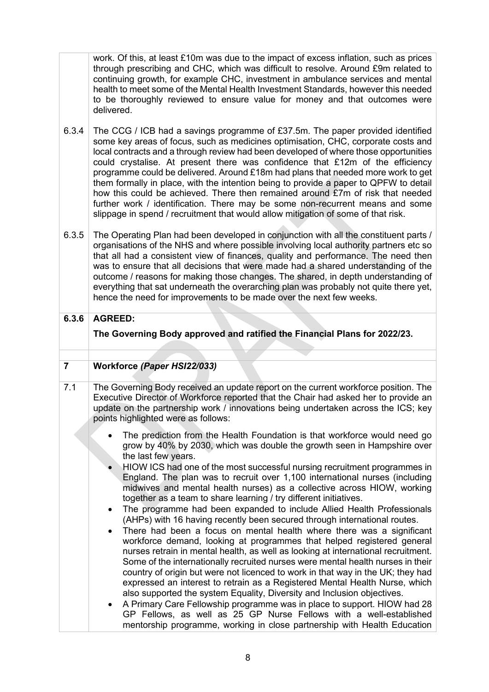work. Of this, at least £10m was due to the impact of excess inflation, such as prices through prescribing and CHC, which was difficult to resolve. Around £9m related to continuing growth, for example CHC, investment in ambulance services and mental health to meet some of the Mental Health Investment Standards, however this needed to be thoroughly reviewed to ensure value for money and that outcomes were delivered.

- 6.3.4 The CCG / ICB had a savings programme of £37.5m. The paper provided identified some key areas of focus, such as medicines optimisation, CHC, corporate costs and local contracts and a through review had been developed of where those opportunities could crystalise. At present there was confidence that £12m of the efficiency programme could be delivered. Around £18m had plans that needed more work to get them formally in place, with the intention being to provide a paper to QPFW to detail how this could be achieved. There then remained around £7m of risk that needed further work / identification. There may be some non-recurrent means and some slippage in spend / recruitment that would allow mitigation of some of that risk.
- 6.3.5 The Operating Plan had been developed in conjunction with all the constituent parts / organisations of the NHS and where possible involving local authority partners etc so that all had a consistent view of finances, quality and performance. The need then was to ensure that all decisions that were made had a shared understanding of the outcome / reasons for making those changes. The shared, in depth understanding of everything that sat underneath the overarching plan was probably not quite there yet, hence the need for improvements to be made over the next few weeks.
- **6.3.6 AGREED: The Governing Body approved and ratified the Financial Plans for 2022/23.**

# **7 Workforce** *(Paper HSI22/033)*

- 7.1 The Governing Body received an update report on the current workforce position. The Executive Director of Workforce reported that the Chair had asked her to provide an update on the partnership work / innovations being undertaken across the ICS; key points highlighted were as follows:
	- The prediction from the Health Foundation is that workforce would need go grow by 40% by 2030, which was double the growth seen in Hampshire over the last few years.
	- HIOW ICS had one of the most successful nursing recruitment programmes in England. The plan was to recruit over 1,100 international nurses (including midwives and mental health nurses) as a collective across HIOW, working together as a team to share learning / try different initiatives.
	- The programme had been expanded to include Allied Health Professionals (AHPs) with 16 having recently been secured through international routes.
	- There had been a focus on mental health where there was a significant workforce demand, looking at programmes that helped registered general nurses retrain in mental health, as well as looking at international recruitment. Some of the internationally recruited nurses were mental health nurses in their country of origin but were not licenced to work in that way in the UK; they had expressed an interest to retrain as a Registered Mental Health Nurse, which also supported the system Equality, Diversity and Inclusion objectives.
	- A Primary Care Fellowship programme was in place to support. HIOW had 28 GP Fellows, as well as 25 GP Nurse Fellows with a well-established mentorship programme, working in close partnership with Health Education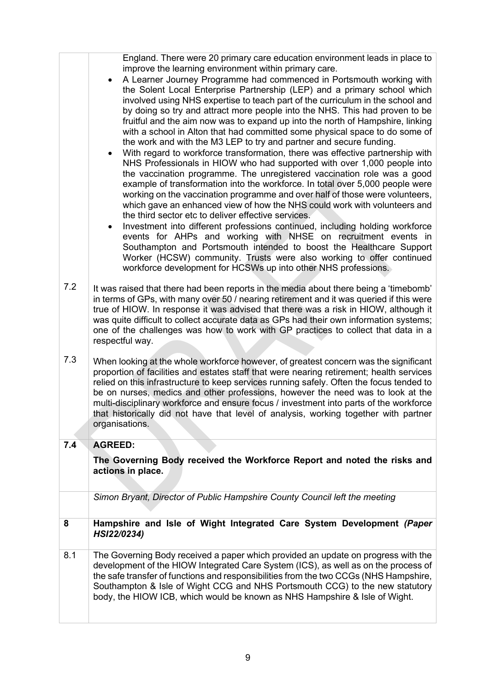|     | England. There were 20 primary care education environment leads in place to<br>improve the learning environment within primary care.<br>A Learner Journey Programme had commenced in Portsmouth working with<br>the Solent Local Enterprise Partnership (LEP) and a primary school which<br>involved using NHS expertise to teach part of the curriculum in the school and<br>by doing so try and attract more people into the NHS. This had proven to be<br>fruitful and the aim now was to expand up into the north of Hampshire, linking<br>with a school in Alton that had committed some physical space to do some of<br>the work and with the M3 LEP to try and partner and secure funding.<br>With regard to workforce transformation, there was effective partnership with<br>NHS Professionals in HIOW who had supported with over 1,000 people into<br>the vaccination programme. The unregistered vaccination role was a good<br>example of transformation into the workforce. In total over 5,000 people were<br>working on the vaccination programme and over half of those were volunteers,<br>which gave an enhanced view of how the NHS could work with volunteers and<br>the third sector etc to deliver effective services.<br>Investment into different professions continued, including holding workforce<br>٠<br>events for AHPs and working with NHSE on recruitment events in<br>Southampton and Portsmouth intended to boost the Healthcare Support<br>Worker (HCSW) community. Trusts were also working to offer continued<br>workforce development for HCSWs up into other NHS professions. |
|-----|-----------------------------------------------------------------------------------------------------------------------------------------------------------------------------------------------------------------------------------------------------------------------------------------------------------------------------------------------------------------------------------------------------------------------------------------------------------------------------------------------------------------------------------------------------------------------------------------------------------------------------------------------------------------------------------------------------------------------------------------------------------------------------------------------------------------------------------------------------------------------------------------------------------------------------------------------------------------------------------------------------------------------------------------------------------------------------------------------------------------------------------------------------------------------------------------------------------------------------------------------------------------------------------------------------------------------------------------------------------------------------------------------------------------------------------------------------------------------------------------------------------------------------------------------------------------------------------------------------------------------|
| 7.2 | It was raised that there had been reports in the media about there being a 'timebomb'<br>in terms of GPs, with many over 50 / nearing retirement and it was queried if this were<br>true of HIOW. In response it was advised that there was a risk in HIOW, although it<br>was quite difficult to collect accurate data as GPs had their own information systems;<br>one of the challenges was how to work with GP practices to collect that data in a<br>respectful way.                                                                                                                                                                                                                                                                                                                                                                                                                                                                                                                                                                                                                                                                                                                                                                                                                                                                                                                                                                                                                                                                                                                                             |
| 7.3 | When looking at the whole workforce however, of greatest concern was the significant<br>proportion of facilities and estates staff that were nearing retirement; health services<br>relied on this infrastructure to keep services running safely. Often the focus tended to<br>be on nurses, medics and other professions, however the need was to look at the<br>multi-disciplinary workforce and ensure focus / investment into parts of the workforce<br>that historically did not have that level of analysis, working together with partner<br>organisations.                                                                                                                                                                                                                                                                                                                                                                                                                                                                                                                                                                                                                                                                                                                                                                                                                                                                                                                                                                                                                                                   |
| 7.4 | <b>AGREED:</b>                                                                                                                                                                                                                                                                                                                                                                                                                                                                                                                                                                                                                                                                                                                                                                                                                                                                                                                                                                                                                                                                                                                                                                                                                                                                                                                                                                                                                                                                                                                                                                                                        |
|     | The Governing Body received the Workforce Report and noted the risks and<br>actions in place.                                                                                                                                                                                                                                                                                                                                                                                                                                                                                                                                                                                                                                                                                                                                                                                                                                                                                                                                                                                                                                                                                                                                                                                                                                                                                                                                                                                                                                                                                                                         |
|     | Simon Bryant, Director of Public Hampshire County Council left the meeting                                                                                                                                                                                                                                                                                                                                                                                                                                                                                                                                                                                                                                                                                                                                                                                                                                                                                                                                                                                                                                                                                                                                                                                                                                                                                                                                                                                                                                                                                                                                            |
| 8   | Hampshire and Isle of Wight Integrated Care System Development (Paper<br>HSI22/0234)                                                                                                                                                                                                                                                                                                                                                                                                                                                                                                                                                                                                                                                                                                                                                                                                                                                                                                                                                                                                                                                                                                                                                                                                                                                                                                                                                                                                                                                                                                                                  |
| 8.1 | The Governing Body received a paper which provided an update on progress with the<br>development of the HIOW Integrated Care System (ICS), as well as on the process of<br>the safe transfer of functions and responsibilities from the two CCGs (NHS Hampshire,<br>Southampton & Isle of Wight CCG and NHS Portsmouth CCG) to the new statutory<br>body, the HIOW ICB, which would be known as NHS Hampshire & Isle of Wight.                                                                                                                                                                                                                                                                                                                                                                                                                                                                                                                                                                                                                                                                                                                                                                                                                                                                                                                                                                                                                                                                                                                                                                                        |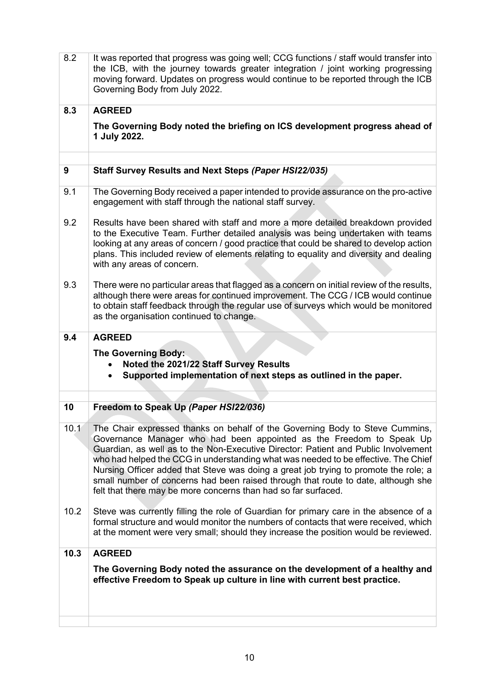| 8.2  | It was reported that progress was going well; CCG functions / staff would transfer into<br>the ICB, with the journey towards greater integration / joint working progressing<br>moving forward. Updates on progress would continue to be reported through the ICB<br>Governing Body from July 2022.                                                                                                                                                                                                                                                                             |
|------|---------------------------------------------------------------------------------------------------------------------------------------------------------------------------------------------------------------------------------------------------------------------------------------------------------------------------------------------------------------------------------------------------------------------------------------------------------------------------------------------------------------------------------------------------------------------------------|
| 8.3  | <b>AGREED</b>                                                                                                                                                                                                                                                                                                                                                                                                                                                                                                                                                                   |
|      | The Governing Body noted the briefing on ICS development progress ahead of<br>1 July 2022.                                                                                                                                                                                                                                                                                                                                                                                                                                                                                      |
|      |                                                                                                                                                                                                                                                                                                                                                                                                                                                                                                                                                                                 |
| 9    | Staff Survey Results and Next Steps (Paper HSI22/035)                                                                                                                                                                                                                                                                                                                                                                                                                                                                                                                           |
| 9.1  | The Governing Body received a paper intended to provide assurance on the pro-active<br>engagement with staff through the national staff survey.                                                                                                                                                                                                                                                                                                                                                                                                                                 |
| 9.2  | Results have been shared with staff and more a more detailed breakdown provided<br>to the Executive Team. Further detailed analysis was being undertaken with teams<br>looking at any areas of concern / good practice that could be shared to develop action<br>plans. This included review of elements relating to equality and diversity and dealing<br>with any areas of concern.                                                                                                                                                                                           |
| 9.3  | There were no particular areas that flagged as a concern on initial review of the results,<br>although there were areas for continued improvement. The CCG / ICB would continue<br>to obtain staff feedback through the regular use of surveys which would be monitored<br>as the organisation continued to change.                                                                                                                                                                                                                                                             |
| 9.4  | <b>AGREED</b>                                                                                                                                                                                                                                                                                                                                                                                                                                                                                                                                                                   |
|      | <b>The Governing Body:</b><br>Noted the 2021/22 Staff Survey Results<br>$\bullet$<br>Supported implementation of next steps as outlined in the paper.<br>$\bullet$                                                                                                                                                                                                                                                                                                                                                                                                              |
|      |                                                                                                                                                                                                                                                                                                                                                                                                                                                                                                                                                                                 |
| 10   | Freedom to Speak Up (Paper HSI22/036)                                                                                                                                                                                                                                                                                                                                                                                                                                                                                                                                           |
| 10.1 | The Chair expressed thanks on behalf of the Governing Body to Steve Cummins,<br>Governance Manager who had been appointed as the Freedom to Speak Up<br>Guardian, as well as to the Non-Executive Director: Patient and Public Involvement<br>who had helped the CCG in understanding what was needed to be effective. The Chief<br>Nursing Officer added that Steve was doing a great job trying to promote the role; a<br>small number of concerns had been raised through that route to date, although she<br>felt that there may be more concerns than had so far surfaced. |
| 10.2 | Steve was currently filling the role of Guardian for primary care in the absence of a<br>formal structure and would monitor the numbers of contacts that were received, which<br>at the moment were very small; should they increase the position would be reviewed.                                                                                                                                                                                                                                                                                                            |
| 10.3 | <b>AGREED</b>                                                                                                                                                                                                                                                                                                                                                                                                                                                                                                                                                                   |
|      | The Governing Body noted the assurance on the development of a healthy and<br>effective Freedom to Speak up culture in line with current best practice.                                                                                                                                                                                                                                                                                                                                                                                                                         |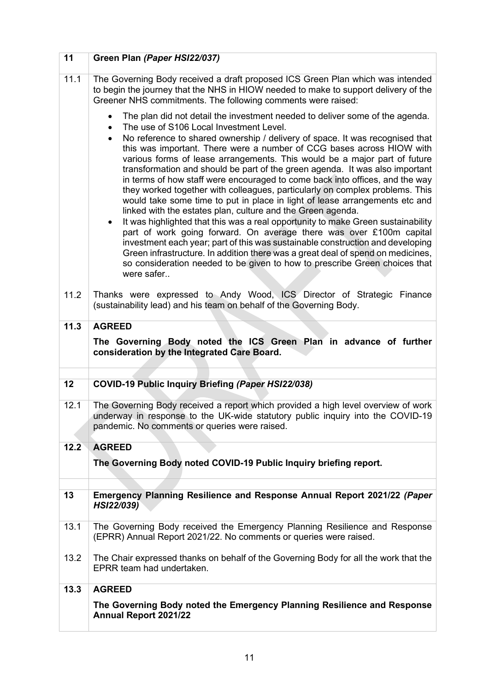| 11   | Green Plan (Paper HSI22/037)                                                                                                                                                                                                                                                                                                                                                                                                                                                                                                                                                                                                                                                                                                                                                                                                                                                                                                                                                                                                                                |
|------|-------------------------------------------------------------------------------------------------------------------------------------------------------------------------------------------------------------------------------------------------------------------------------------------------------------------------------------------------------------------------------------------------------------------------------------------------------------------------------------------------------------------------------------------------------------------------------------------------------------------------------------------------------------------------------------------------------------------------------------------------------------------------------------------------------------------------------------------------------------------------------------------------------------------------------------------------------------------------------------------------------------------------------------------------------------|
| 11.1 | The Governing Body received a draft proposed ICS Green Plan which was intended<br>to begin the journey that the NHS in HIOW needed to make to support delivery of the<br>Greener NHS commitments. The following comments were raised:                                                                                                                                                                                                                                                                                                                                                                                                                                                                                                                                                                                                                                                                                                                                                                                                                       |
|      | The plan did not detail the investment needed to deliver some of the agenda.<br>$\bullet$<br>The use of S106 Local Investment Level.                                                                                                                                                                                                                                                                                                                                                                                                                                                                                                                                                                                                                                                                                                                                                                                                                                                                                                                        |
|      | No reference to shared ownership / delivery of space. It was recognised that<br>$\bullet$<br>this was important. There were a number of CCG bases across HIOW with<br>various forms of lease arrangements. This would be a major part of future<br>transformation and should be part of the green agenda. It was also important<br>in terms of how staff were encouraged to come back into offices, and the way<br>they worked together with colleagues, particularly on complex problems. This<br>would take some time to put in place in light of lease arrangements etc and<br>linked with the estates plan, culture and the Green agenda.<br>It was highlighted that this was a real opportunity to make Green sustainability<br>part of work going forward. On average there was over £100m capital<br>investment each year; part of this was sustainable construction and developing<br>Green infrastructure. In addition there was a great deal of spend on medicines,<br>so consideration needed to be given to how to prescribe Green choices that |
|      | were safer                                                                                                                                                                                                                                                                                                                                                                                                                                                                                                                                                                                                                                                                                                                                                                                                                                                                                                                                                                                                                                                  |
| 11.2 | Thanks were expressed to Andy Wood, ICS Director of Strategic Finance<br>(sustainability lead) and his team on behalf of the Governing Body.                                                                                                                                                                                                                                                                                                                                                                                                                                                                                                                                                                                                                                                                                                                                                                                                                                                                                                                |
| 11.3 | <b>AGREED</b>                                                                                                                                                                                                                                                                                                                                                                                                                                                                                                                                                                                                                                                                                                                                                                                                                                                                                                                                                                                                                                               |
|      | The Governing Body noted the ICS Green Plan in advance of further<br>consideration by the Integrated Care Board.                                                                                                                                                                                                                                                                                                                                                                                                                                                                                                                                                                                                                                                                                                                                                                                                                                                                                                                                            |
|      |                                                                                                                                                                                                                                                                                                                                                                                                                                                                                                                                                                                                                                                                                                                                                                                                                                                                                                                                                                                                                                                             |
| 12   | COVID-19 Public Inquiry Briefing (Paper HSI22/038)                                                                                                                                                                                                                                                                                                                                                                                                                                                                                                                                                                                                                                                                                                                                                                                                                                                                                                                                                                                                          |
| 12.1 | The Governing Body received a report which provided a high level overview of work<br>underway in response to the UK-wide statutory public inquiry into the COVID-19<br>pandemic. No comments or queries were raised.                                                                                                                                                                                                                                                                                                                                                                                                                                                                                                                                                                                                                                                                                                                                                                                                                                        |
| 12.2 | <b>AGREED</b>                                                                                                                                                                                                                                                                                                                                                                                                                                                                                                                                                                                                                                                                                                                                                                                                                                                                                                                                                                                                                                               |
|      | The Governing Body noted COVID-19 Public Inquiry briefing report.                                                                                                                                                                                                                                                                                                                                                                                                                                                                                                                                                                                                                                                                                                                                                                                                                                                                                                                                                                                           |
|      |                                                                                                                                                                                                                                                                                                                                                                                                                                                                                                                                                                                                                                                                                                                                                                                                                                                                                                                                                                                                                                                             |
| 13   | Emergency Planning Resilience and Response Annual Report 2021/22 (Paper<br>HSI22/039)                                                                                                                                                                                                                                                                                                                                                                                                                                                                                                                                                                                                                                                                                                                                                                                                                                                                                                                                                                       |
| 13.1 | The Governing Body received the Emergency Planning Resilience and Response<br>(EPRR) Annual Report 2021/22. No comments or queries were raised.                                                                                                                                                                                                                                                                                                                                                                                                                                                                                                                                                                                                                                                                                                                                                                                                                                                                                                             |
| 13.2 | The Chair expressed thanks on behalf of the Governing Body for all the work that the<br>EPRR team had undertaken.                                                                                                                                                                                                                                                                                                                                                                                                                                                                                                                                                                                                                                                                                                                                                                                                                                                                                                                                           |
| 13.3 | <b>AGREED</b>                                                                                                                                                                                                                                                                                                                                                                                                                                                                                                                                                                                                                                                                                                                                                                                                                                                                                                                                                                                                                                               |
|      | The Governing Body noted the Emergency Planning Resilience and Response<br><b>Annual Report 2021/22</b>                                                                                                                                                                                                                                                                                                                                                                                                                                                                                                                                                                                                                                                                                                                                                                                                                                                                                                                                                     |